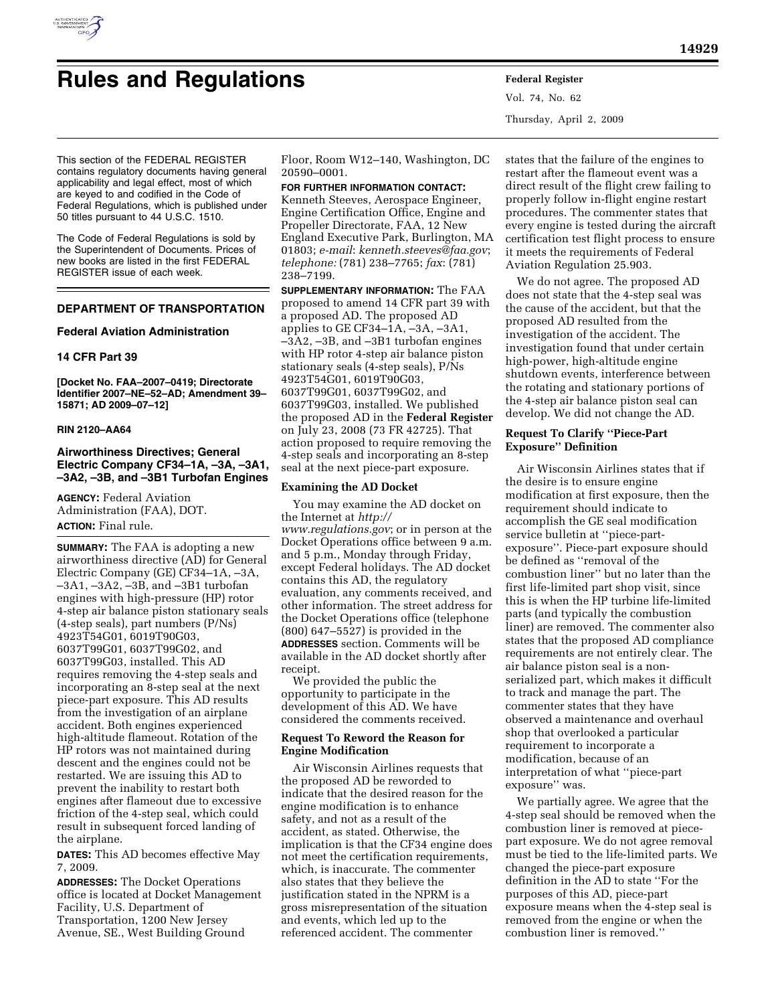

# **Rules and Regulations Federal Register**

Vol. 74, No. 62 Thursday, April 2, 2009

This section of the FEDERAL REGISTER contains regulatory documents having general applicability and legal effect, most of which are keyed to and codified in the Code of Federal Regulations, which is published under 50 titles pursuant to 44 U.S.C. 1510.

The Code of Federal Regulations is sold by the Superintendent of Documents. Prices of new books are listed in the first FEDERAL REGISTER issue of each week.

# **DEPARTMENT OF TRANSPORTATION**

## **Federal Aviation Administration**

## **14 CFR Part 39**

**[Docket No. FAA–2007–0419; Directorate Identifier 2007–NE–52–AD; Amendment 39– 15871; AD 2009–07–12]** 

#### **RIN 2120–AA64**

# **Airworthiness Directives; General Electric Company CF34–1A, –3A, –3A1, –3A2, –3B, and –3B1 Turbofan Engines**

**AGENCY:** Federal Aviation Administration (FAA), DOT. **ACTION:** Final rule.

**SUMMARY:** The FAA is adopting a new airworthiness directive (AD) for General Electric Company (GE) CF34–1A, –3A, –3A1, –3A2, –3B, and –3B1 turbofan engines with high-pressure (HP) rotor 4-step air balance piston stationary seals (4-step seals), part numbers (P/Ns) 4923T54G01, 6019T90G03, 6037T99G01, 6037T99G02, and 6037T99G03, installed. This AD requires removing the 4-step seals and incorporating an 8-step seal at the next piece-part exposure. This AD results from the investigation of an airplane accident. Both engines experienced high-altitude flameout. Rotation of the HP rotors was not maintained during descent and the engines could not be restarted. We are issuing this AD to prevent the inability to restart both engines after flameout due to excessive friction of the 4-step seal, which could result in subsequent forced landing of the airplane.

**DATES:** This AD becomes effective May 7, 2009.

**ADDRESSES:** The Docket Operations office is located at Docket Management Facility, U.S. Department of Transportation, 1200 New Jersey Avenue, SE., West Building Ground

Floor, Room W12–140, Washington, DC 20590–0001.

**FOR FURTHER INFORMATION CONTACT:**  Kenneth Steeves, Aerospace Engineer, Engine Certification Office, Engine and Propeller Directorate, FAA, 12 New England Executive Park, Burlington, MA 01803; *e-mail*: *kenneth.steeves@faa.gov*; *telephone:* (781) 238–7765; *fax*: (781) 238–7199.

**SUPPLEMENTARY INFORMATION:** The FAA proposed to amend 14 CFR part 39 with a proposed AD. The proposed AD applies to GE CF34–1A, –3A, –3A1, –3A2, –3B, and –3B1 turbofan engines with HP rotor 4-step air balance piston stationary seals (4-step seals), P/Ns 4923T54G01, 6019T90G03, 6037T99G01, 6037T99G02, and 6037T99G03, installed. We published the proposed AD in the **Federal Register**  on July 23, 2008 (73 FR 42725). That action proposed to require removing the 4-step seals and incorporating an 8-step seal at the next piece-part exposure.

## **Examining the AD Docket**

You may examine the AD docket on the Internet at *http:// www.regulations.gov*; or in person at the Docket Operations office between 9 a.m. and 5 p.m., Monday through Friday, except Federal holidays. The AD docket contains this AD, the regulatory evaluation, any comments received, and other information. The street address for the Docket Operations office (telephone (800) 647–5527) is provided in the **ADDRESSES** section. Comments will be available in the AD docket shortly after receipt.

We provided the public the opportunity to participate in the development of this AD. We have considered the comments received.

#### **Request To Reword the Reason for Engine Modification**

Air Wisconsin Airlines requests that the proposed AD be reworded to indicate that the desired reason for the engine modification is to enhance safety, and not as a result of the accident, as stated. Otherwise, the implication is that the CF34 engine does not meet the certification requirements, which, is inaccurate. The commenter also states that they believe the justification stated in the NPRM is a gross misrepresentation of the situation and events, which led up to the referenced accident. The commenter

states that the failure of the engines to restart after the flameout event was a direct result of the flight crew failing to properly follow in-flight engine restart procedures. The commenter states that every engine is tested during the aircraft certification test flight process to ensure it meets the requirements of Federal Aviation Regulation 25.903.

We do not agree. The proposed AD does not state that the 4-step seal was the cause of the accident, but that the proposed AD resulted from the investigation of the accident. The investigation found that under certain high-power, high-altitude engine shutdown events, interference between the rotating and stationary portions of the 4-step air balance piston seal can develop. We did not change the AD.

# **Request To Clarify ''Piece-Part Exposure'' Definition**

Air Wisconsin Airlines states that if the desire is to ensure engine modification at first exposure, then the requirement should indicate to accomplish the GE seal modification service bulletin at ''piece-partexposure''. Piece-part exposure should be defined as ''removal of the combustion liner'' but no later than the first life-limited part shop visit, since this is when the HP turbine life-limited parts (and typically the combustion liner) are removed. The commenter also states that the proposed AD compliance requirements are not entirely clear. The air balance piston seal is a nonserialized part, which makes it difficult to track and manage the part. The commenter states that they have observed a maintenance and overhaul shop that overlooked a particular requirement to incorporate a modification, because of an interpretation of what ''piece-part exposure'' was.

We partially agree. We agree that the 4-step seal should be removed when the combustion liner is removed at piecepart exposure. We do not agree removal must be tied to the life-limited parts. We changed the piece-part exposure definition in the AD to state ''For the purposes of this AD, piece-part exposure means when the 4-step seal is removed from the engine or when the combustion liner is removed.''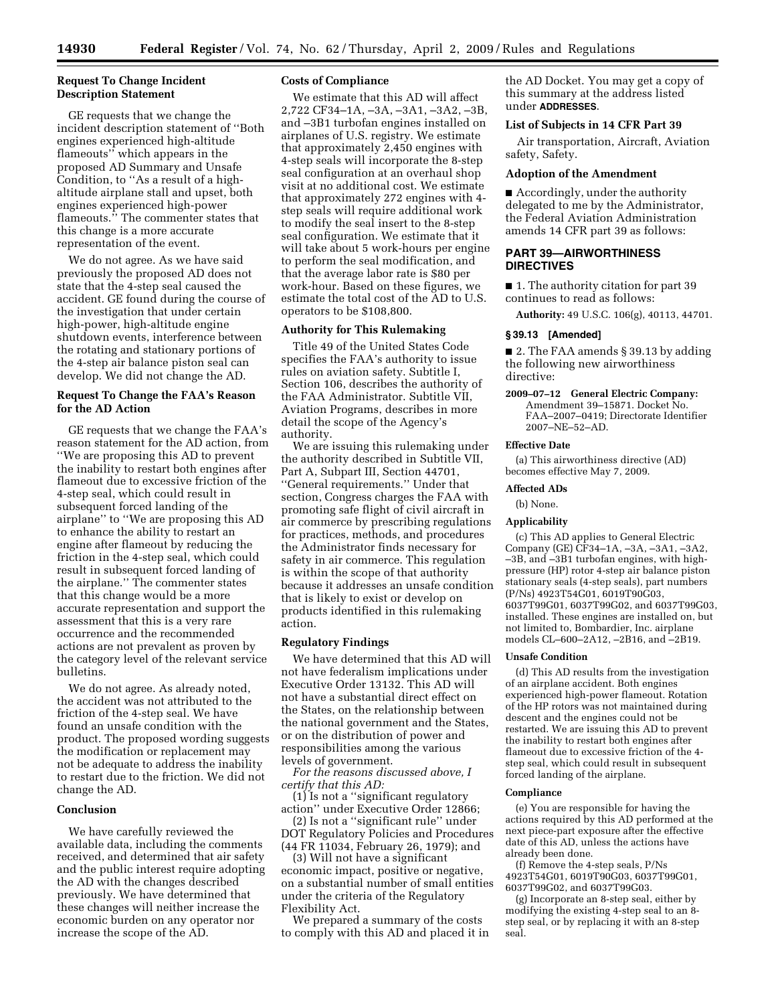#### **Request To Change Incident Description Statement**

GE requests that we change the incident description statement of ''Both engines experienced high-altitude flameouts'' which appears in the proposed AD Summary and Unsafe Condition, to ''As a result of a highaltitude airplane stall and upset, both engines experienced high-power flameouts." The commenter states that this change is a more accurate representation of the event.

We do not agree. As we have said previously the proposed AD does not state that the 4-step seal caused the accident. GE found during the course of the investigation that under certain high-power, high-altitude engine shutdown events, interference between the rotating and stationary portions of the 4-step air balance piston seal can develop. We did not change the AD.

# **Request To Change the FAA's Reason for the AD Action**

GE requests that we change the FAA's reason statement for the AD action, from ''We are proposing this AD to prevent the inability to restart both engines after flameout due to excessive friction of the 4-step seal, which could result in subsequent forced landing of the airplane'' to ''We are proposing this AD to enhance the ability to restart an engine after flameout by reducing the friction in the 4-step seal, which could result in subsequent forced landing of the airplane.'' The commenter states that this change would be a more accurate representation and support the assessment that this is a very rare occurrence and the recommended actions are not prevalent as proven by the category level of the relevant service bulletins.

We do not agree. As already noted, the accident was not attributed to the friction of the 4-step seal. We have found an unsafe condition with the product. The proposed wording suggests the modification or replacement may not be adequate to address the inability to restart due to the friction. We did not change the AD.

#### **Conclusion**

We have carefully reviewed the available data, including the comments received, and determined that air safety and the public interest require adopting the AD with the changes described previously. We have determined that these changes will neither increase the economic burden on any operator nor increase the scope of the AD.

#### **Costs of Compliance**

We estimate that this AD will affect 2,722 CF34–1A, –3A, –3A1, –3A2, –3B, and –3B1 turbofan engines installed on airplanes of U.S. registry. We estimate that approximately 2,450 engines with 4-step seals will incorporate the 8-step seal configuration at an overhaul shop visit at no additional cost. We estimate that approximately 272 engines with 4 step seals will require additional work to modify the seal insert to the 8-step seal configuration. We estimate that it will take about 5 work-hours per engine to perform the seal modification, and that the average labor rate is \$80 per work-hour. Based on these figures, we estimate the total cost of the AD to U.S. operators to be \$108,800.

#### **Authority for This Rulemaking**

Title 49 of the United States Code specifies the FAA's authority to issue rules on aviation safety. Subtitle I, Section 106, describes the authority of the FAA Administrator. Subtitle VII, Aviation Programs, describes in more detail the scope of the Agency's authority.

We are issuing this rulemaking under the authority described in Subtitle VII, Part A, Subpart III, Section 44701, ''General requirements.'' Under that section, Congress charges the FAA with promoting safe flight of civil aircraft in air commerce by prescribing regulations for practices, methods, and procedures the Administrator finds necessary for safety in air commerce. This regulation is within the scope of that authority because it addresses an unsafe condition that is likely to exist or develop on products identified in this rulemaking action.

#### **Regulatory Findings**

We have determined that this AD will not have federalism implications under Executive Order 13132. This AD will not have a substantial direct effect on the States, on the relationship between the national government and the States, or on the distribution of power and responsibilities among the various levels of government.

*For the reasons discussed above, I certify that this AD:* 

(1) Is not a ''significant regulatory action'' under Executive Order 12866;

(2) Is not a ''significant rule'' under DOT Regulatory Policies and Procedures (44 FR 11034, February 26, 1979); and

(3) Will not have a significant economic impact, positive or negative, on a substantial number of small entities under the criteria of the Regulatory Flexibility Act.

We prepared a summary of the costs to comply with this AD and placed it in the AD Docket. You may get a copy of this summary at the address listed under **ADDRESSES**.

# **List of Subjects in 14 CFR Part 39**

Air transportation, Aircraft, Aviation safety, Safety.

# **Adoption of the Amendment**

■ Accordingly, under the authority delegated to me by the Administrator, the Federal Aviation Administration amends 14 CFR part 39 as follows:

#### **PART 39—AIRWORTHINESS DIRECTIVES**

■ 1. The authority citation for part 39 continues to read as follows:

**Authority:** 49 U.S.C. 106(g), 40113, 44701.

#### **§ 39.13 [Amended]**

■ 2. The FAA amends § 39.13 by adding the following new airworthiness directive:

**2009–07–12 General Electric Company:**  Amendment 39–15871. Docket No. FAA–2007–0419; Directorate Identifier 2007–NE–52–AD.

## **Effective Date**

(a) This airworthiness directive (AD) becomes effective May 7, 2009.

# **Affected ADs**

(b) None.

# **Applicability**

(c) This AD applies to General Electric Company (GE) CF34–1A, –3A, –3A1, –3A2, –3B, and –3B1 turbofan engines, with highpressure (HP) rotor 4-step air balance piston stationary seals (4-step seals), part numbers (P/Ns) 4923T54G01, 6019T90G03, 6037T99G01, 6037T99G02, and 6037T99G03, installed. These engines are installed on, but not limited to, Bombardier, Inc. airplane models CL–600–2A12, –2B16, and –2B19.

#### **Unsafe Condition**

(d) This AD results from the investigation of an airplane accident. Both engines experienced high-power flameout. Rotation of the HP rotors was not maintained during descent and the engines could not be restarted. We are issuing this AD to prevent the inability to restart both engines after flameout due to excessive friction of the 4 step seal, which could result in subsequent forced landing of the airplane.

## **Compliance**

(e) You are responsible for having the actions required by this AD performed at the next piece-part exposure after the effective date of this AD, unless the actions have already been done.

(f) Remove the 4-step seals, P/Ns 4923T54G01, 6019T90G03, 6037T99G01, 6037T99G02, and 6037T99G03.

(g) Incorporate an 8-step seal, either by modifying the existing 4-step seal to an 8 step seal, or by replacing it with an 8-step seal.